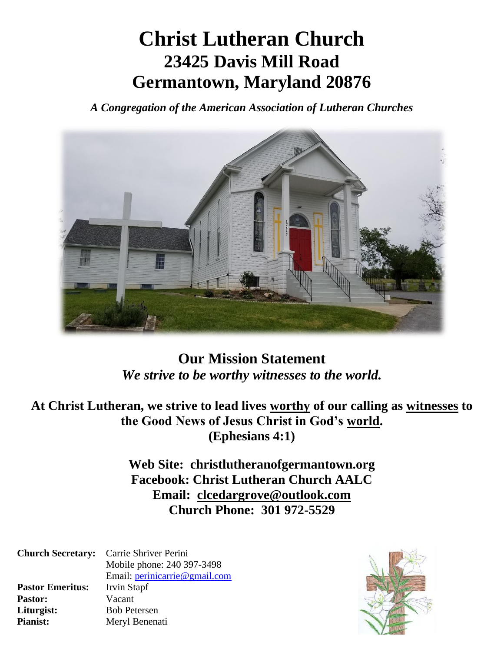# **Christ Lutheran Church 23425 Davis Mill Road Germantown, Maryland 20876**

*A Congregation of the American Association of Lutheran Churches*



**Our Mission Statement** *We strive to be worthy witnesses to the world.*

**At Christ Lutheran, we strive to lead lives worthy of our calling as witnesses to the Good News of Jesus Christ in God's world. (Ephesians 4:1)**

> **Web Site: christlutheranofgermantown.org Facebook: Christ Lutheran Church AALC Email: [clcedargrove@outlook.com](mailto:clcedargrove@outlook.com) Church Phone: 301 972-5529**

|                         | <b>Church Secretary:</b> Carrie Shriver Perini |  |  |
|-------------------------|------------------------------------------------|--|--|
|                         | Mobile phone: 240 397-3498                     |  |  |
|                         | Email: perinicarrie@gmail.com                  |  |  |
| <b>Pastor Emeritus:</b> | Irvin Stapf                                    |  |  |
| <b>Pastor:</b>          | Vacant                                         |  |  |
| Liturgist:              | <b>Bob Petersen</b>                            |  |  |
| <b>Pianist:</b>         | Meryl Benenati                                 |  |  |

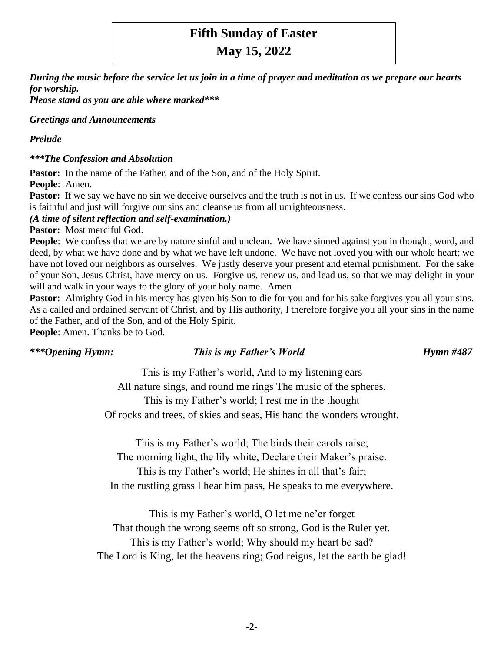# **Fifth Sunday of Easter**

**May 15, 2022**

*During the music before the service let us join in a time of prayer and meditation as we prepare our hearts for worship.*

*Please stand as you are able where marked\*\*\**

## *Greetings and Announcements*

## *Prelude*

*\*\*\*The Confession and Absolution*

Pastor: In the name of the Father, and of the Son, and of the Holy Spirit. **People**: Amen.

**Pastor:** If we say we have no sin we deceive ourselves and the truth is not in us. If we confess our sins God who is faithful and just will forgive our sins and cleanse us from all unrighteousness.

*(A time of silent reflection and self-examination.)*

**Pastor:** Most merciful God.

People: We confess that we are by nature sinful and unclean. We have sinned against you in thought, word, and deed, by what we have done and by what we have left undone. We have not loved you with our whole heart; we have not loved our neighbors as ourselves. We justly deserve your present and eternal punishment. For the sake of your Son, Jesus Christ, have mercy on us. Forgive us, renew us, and lead us, so that we may delight in your will and walk in your ways to the glory of your holy name. Amen

**Pastor:** Almighty God in his mercy has given his Son to die for you and for his sake forgives you all your sins. As a called and ordained servant of Christ, and by His authority, I therefore forgive you all your sins in the name of the Father, and of the Son, and of the Holy Spirit.

**People**: Amen. Thanks be to God.

## *\*\*\*Opening Hymn: This is my Father's World Hymn #487*

This is my Father's world, And to my listening ears All nature sings, and round me rings The music of the spheres. This is my Father's world; I rest me in the thought Of rocks and trees, of skies and seas, His hand the wonders wrought.

This is my Father's world; The birds their carols raise; The morning light, the lily white, Declare their Maker's praise. This is my Father's world; He shines in all that's fair; In the rustling grass I hear him pass, He speaks to me everywhere.

This is my Father's world, O let me ne'er forget That though the wrong seems oft so strong, God is the Ruler yet. This is my Father's world; Why should my heart be sad? The Lord is King, let the heavens ring; God reigns, let the earth be glad!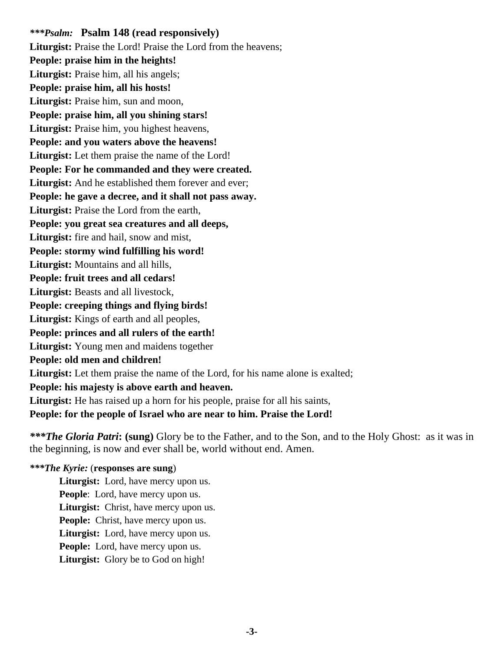*\*\*\*Psalm:* **Psalm 148 (read responsively)** Liturgist: Praise the Lord! Praise the Lord from the heavens: **People: praise him in the heights!** Liturgist: Praise him, all his angels; **People: praise him, all his hosts!** Liturgist: Praise him, sun and moon, **People: praise him, all you shining stars! Liturgist:** Praise him, you highest heavens, **People: and you waters above the heavens! Liturgist:** Let them praise the name of the Lord! **People: For he commanded and they were created. Liturgist:** And he established them forever and ever; **People: he gave a decree, and it shall not pass away. Liturgist:** Praise the Lord from the earth, **People: you great sea creatures and all deeps,** Liturgist: fire and hail, snow and mist, **People: stormy wind fulfilling his word! Liturgist:** Mountains and all hills, **People: fruit trees and all cedars! Liturgist:** Beasts and all livestock, **People: creeping things and flying birds! Liturgist:** Kings of earth and all peoples, **People: princes and all rulers of the earth! Liturgist:** Young men and maidens together **People: old men and children!** Liturgist: Let them praise the name of the Lord, for his name alone is exalted; **People: his majesty is above earth and heaven.** Liturgist: He has raised up a horn for his people, praise for all his saints, **People: for the people of Israel who are near to him. Praise the Lord!**

*\*\*\*The Gloria Patri***: (sung)** Glory be to the Father, and to the Son, and to the Holy Ghost: as it was in the beginning, is now and ever shall be, world without end. Amen.

## *\*\*\*The Kyrie:* (**responses are sung**)

**Liturgist:** Lord, have mercy upon us. **People:** Lord, have mercy upon us. **Liturgist:** Christ, have mercy upon us. **People:** Christ, have mercy upon us. **Liturgist:** Lord, have mercy upon us. **People:** Lord, have mercy upon us. **Liturgist:** Glory be to God on high!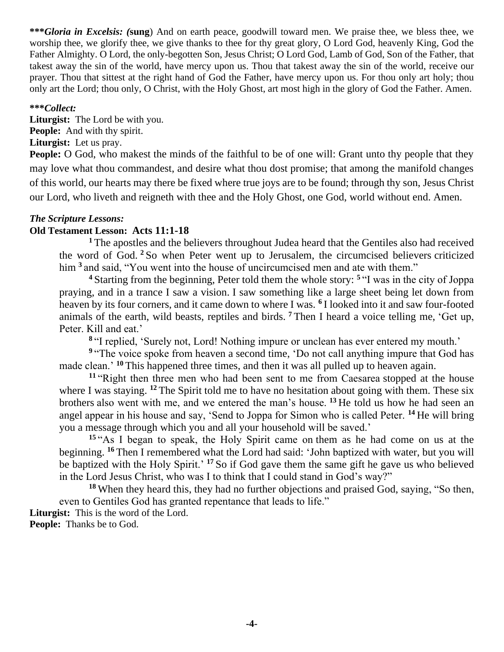**\*\*\****Gloria in Excelsis: (***sung**) And on earth peace, goodwill toward men. We praise thee, we bless thee, we worship thee, we glorify thee, we give thanks to thee for thy great glory, O Lord God, heavenly King, God the Father Almighty. O Lord, the only-begotten Son, Jesus Christ; O Lord God, Lamb of God, Son of the Father, that takest away the sin of the world, have mercy upon us. Thou that takest away the sin of the world, receive our prayer. Thou that sittest at the right hand of God the Father, have mercy upon us. For thou only art holy; thou only art the Lord; thou only, O Christ, with the Holy Ghost, art most high in the glory of God the Father. Amen.

## **\*\*\****Collect:*

**Liturgist:** The Lord be with you. **People:** And with thy spirit. **Liturgist:** Let us pray.

**People:** O God, who makest the minds of the faithful to be of one will: Grant unto thy people that they may love what thou commandest, and desire what thou dost promise; that among the manifold changes of this world, our hearts may there be fixed where true joys are to be found; through thy son, Jesus Christ our Lord, who liveth and reigneth with thee and the Holy Ghost, one God, world without end. Amen.

## *The Scripture Lessons:*

## **Old Testament Lesson: Acts 11:1-18**

**<sup>1</sup>**The apostles and the believers throughout Judea heard that the Gentiles also had received the word of God. **<sup>2</sup>** So when Peter went up to Jerusalem, the circumcised believers criticized him **<sup>3</sup>** and said, "You went into the house of uncircumcised men and ate with them."

<sup>4</sup> Starting from the beginning, Peter told them the whole story: <sup>5</sup> "I was in the city of Joppa praying, and in a trance I saw a vision. I saw something like a large sheet being let down from heaven by its four corners, and it came down to where I was. **<sup>6</sup>** I looked into it and saw four-footed animals of the earth, wild beasts, reptiles and birds. **<sup>7</sup>** Then I heard a voice telling me, 'Get up, Peter. Kill and eat.'

**8** "I replied, 'Surely not, Lord! Nothing impure or unclean has ever entered my mouth.'

<sup>9</sup> "The voice spoke from heaven a second time, 'Do not call anything impure that God has made clean.' **<sup>10</sup>** This happened three times, and then it was all pulled up to heaven again.

**<sup>11</sup>** "Right then three men who had been sent to me from Caesarea stopped at the house where I was staying. <sup>12</sup> The Spirit told me to have no hesitation about going with them. These six brothers also went with me, and we entered the man's house. **<sup>13</sup>** He told us how he had seen an angel appear in his house and say, 'Send to Joppa for Simon who is called Peter. **<sup>14</sup>** He will bring you a message through which you and all your household will be saved.'

**<sup>15</sup>** "As I began to speak, the Holy Spirit came on them as he had come on us at the beginning. **<sup>16</sup>** Then I remembered what the Lord had said: 'John baptized with water, but you will be baptized with the Holy Spirit.' **<sup>17</sup>** So if God gave them the same gift he gave us who believed in the Lord Jesus Christ, who was I to think that I could stand in God's way?"

**<sup>18</sup>** When they heard this, they had no further objections and praised God, saying, "So then, even to Gentiles God has granted repentance that leads to life." **Liturgist:** This is the word of the Lord.

**People:** Thanks be to God.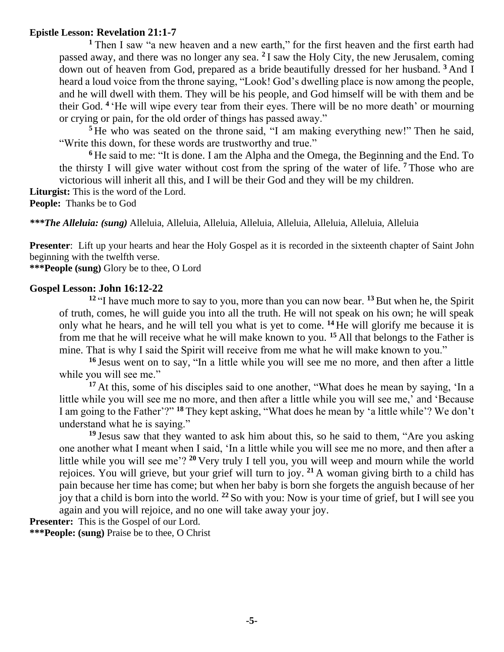## **Epistle Lesson: Revelation 21:1-7**

**<sup>1</sup>**Then I saw "a new heaven and a new earth," for the first heaven and the first earth had passed away, and there was no longer any sea. **<sup>2</sup>** I saw the Holy City, the new Jerusalem, coming down out of heaven from God, prepared as a bride beautifully dressed for her husband. **<sup>3</sup>** And I heard a loud voice from the throne saying, "Look! God's dwelling place is now among the people, and he will dwell with them. They will be his people, and God himself will be with them and be their God. **<sup>4</sup>** 'He will wipe every tear from their eyes. There will be no more death' or mourning or crying or pain, for the old order of things has passed away."

<sup>5</sup> He who was seated on the throne said, "I am making everything new!" Then he said, "Write this down, for these words are trustworthy and true."

**<sup>6</sup>** He said to me: "It is done. I am the Alpha and the Omega, the Beginning and the End. To the thirsty I will give water without cost from the spring of the water of life. **<sup>7</sup>** Those who are victorious will inherit all this, and I will be their God and they will be my children.

**Liturgist:** This is the word of the Lord.

**People:** Thanks be to God

*\*\*\*The Alleluia: (sung)* Alleluia, Alleluia, Alleluia, Alleluia, Alleluia, Alleluia, Alleluia, Alleluia

**Presenter**: Lift up your hearts and hear the Holy Gospel as it is recorded in the sixteenth chapter of Saint John beginning with the twelfth verse.

**\*\*\*People (sung)** Glory be to thee, O Lord

## **Gospel Lesson: John 16:12-22**

**<sup>12</sup>** "I have much more to say to you, more than you can now bear. **<sup>13</sup>** But when he, the Spirit of truth, comes, he will guide you into all the truth. He will not speak on his own; he will speak only what he hears, and he will tell you what is yet to come. **<sup>14</sup>** He will glorify me because it is from me that he will receive what he will make known to you. **<sup>15</sup>** All that belongs to the Father is mine. That is why I said the Spirit will receive from me what he will make known to you."

**<sup>16</sup>** Jesus went on to say, "In a little while you will see me no more, and then after a little while you will see me."

<sup>17</sup> At this, some of his disciples said to one another, "What does he mean by saying, 'In a little while you will see me no more, and then after a little while you will see me,' and 'Because I am going to the Father'?" **<sup>18</sup>** They kept asking, "What does he mean by 'a little while'? We don't understand what he is saying."

**<sup>19</sup>** Jesus saw that they wanted to ask him about this, so he said to them, "Are you asking one another what I meant when I said, 'In a little while you will see me no more, and then after a little while you will see me'? **<sup>20</sup>** Very truly I tell you, you will weep and mourn while the world rejoices. You will grieve, but your grief will turn to joy. **<sup>21</sup>** A woman giving birth to a child has pain because her time has come; but when her baby is born she forgets the anguish because of her joy that a child is born into the world. **<sup>22</sup>** So with you: Now is your time of grief, but I will see you again and you will rejoice, and no one will take away your joy.

**Presenter:** This is the Gospel of our Lord.

**\*\*\*People: (sung)** Praise be to thee, O Christ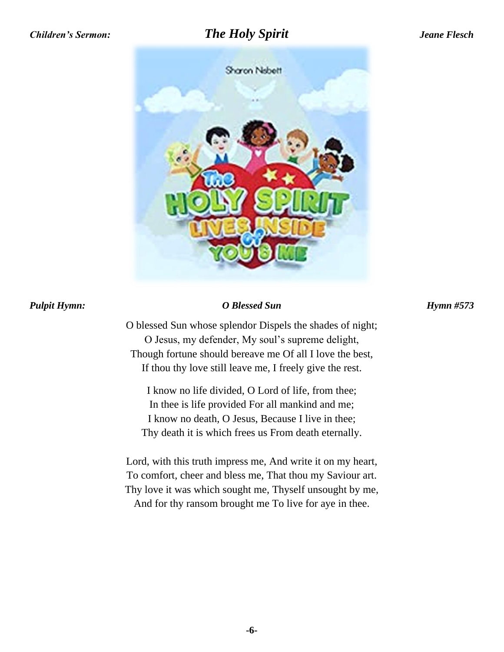## *Children's Sermon: The Holy Spirit Jeane Flesch*



## *Pulpit Hymn: O Blessed Sun Hymn #573*

O blessed Sun whose splendor Dispels the shades of night; O Jesus, my defender, My soul's supreme delight, Though fortune should bereave me Of all I love the best, If thou thy love still leave me, I freely give the rest.

I know no life divided, O Lord of life, from thee; In thee is life provided For all mankind and me; I know no death, O Jesus, Because I live in thee; Thy death it is which frees us From death eternally.

Lord, with this truth impress me, And write it on my heart, To comfort, cheer and bless me, That thou my Saviour art. Thy love it was which sought me, Thyself unsought by me, And for thy ransom brought me To live for aye in thee.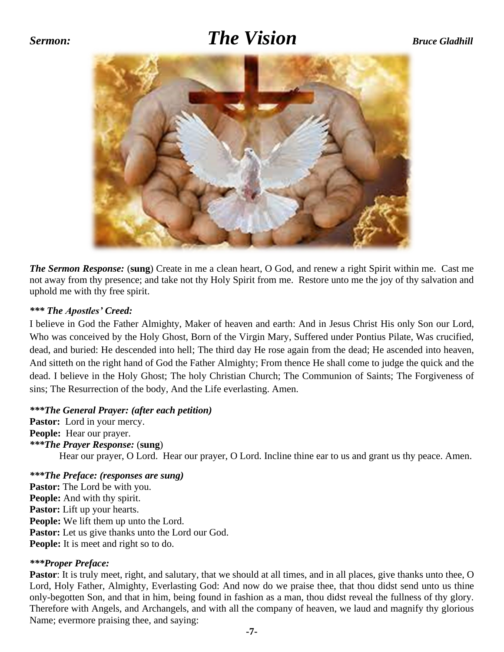## *Sermon: The Vision* Bruce Gladhill



*The Sermon Response:* (**sung**) Create in me a clean heart, O God, and renew a right Spirit within me. Cast me not away from thy presence; and take not thy Holy Spirit from me. Restore unto me the joy of thy salvation and uphold me with thy free spirit.

## *\*\*\* The Apostles' Creed:*

I believe in God the Father Almighty, Maker of heaven and earth: And in Jesus Christ His only Son our Lord, Who was conceived by the Holy Ghost, Born of the Virgin Mary, Suffered under Pontius Pilate, Was crucified, dead, and buried: He descended into hell; The third day He rose again from the dead; He ascended into heaven, And sitteth on the right hand of God the Father Almighty; From thence He shall come to judge the quick and the dead. I believe in the Holy Ghost; The holy Christian Church; The Communion of Saints; The Forgiveness of sins; The Resurrection of the body, And the Life everlasting. Amen.

*\*\*\*The General Prayer: (after each petition)*

Pastor: Lord in your mercy. **People:** Hear our prayer. *\*\*\*The Prayer Response:* (**sung**) Hear our prayer, O Lord. Hear our prayer, O Lord. Incline thine ear to us and grant us thy peace. Amen.

*\*\*\*The Preface: (responses are sung)* Pastor: The Lord be with you. **People:** And with thy spirit. **Pastor:** Lift up your hearts. **People:** We lift them up unto the Lord. Pastor: Let us give thanks unto the Lord our God. **People:** It is meet and right so to do.

## *\*\*\*Proper Preface:*

**Pastor**: It is truly meet, right, and salutary, that we should at all times, and in all places, give thanks unto thee, O Lord, Holy Father, Almighty, Everlasting God: And now do we praise thee, that thou didst send unto us thine only-begotten Son, and that in him, being found in fashion as a man, thou didst reveal the fullness of thy glory. Therefore with Angels, and Archangels, and with all the company of heaven, we laud and magnify thy glorious Name; evermore praising thee, and saying: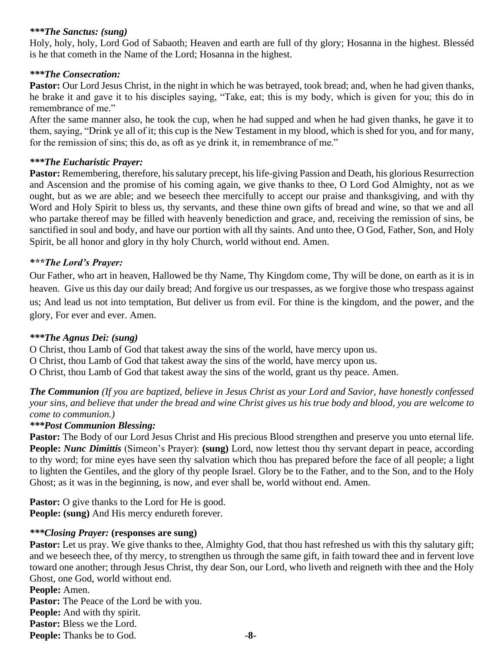## *\*\*\*The Sanctus: (sung)*

Holy, holy, holy, Lord God of Sabaoth; Heaven and earth are full of thy glory; Hosanna in the highest. Blesséd is he that cometh in the Name of the Lord; Hosanna in the highest.

## *\*\*\*The Consecration:*

**Pastor:** Our Lord Jesus Christ, in the night in which he was betrayed, took bread; and, when he had given thanks, he brake it and gave it to his disciples saying, "Take, eat; this is my body, which is given for you; this do in remembrance of me."

After the same manner also, he took the cup, when he had supped and when he had given thanks, he gave it to them, saying, "Drink ye all of it; this cup is the New Testament in my blood, which is shed for you, and for many, for the remission of sins; this do, as oft as ye drink it, in remembrance of me."

## *\*\*\*The Eucharistic Prayer:*

Pastor: Remembering, therefore, his salutary precept, his life-giving Passion and Death, his glorious Resurrection and Ascension and the promise of his coming again, we give thanks to thee, O Lord God Almighty, not as we ought, but as we are able; and we beseech thee mercifully to accept our praise and thanksgiving, and with thy Word and Holy Spirit to bless us, thy servants, and these thine own gifts of bread and wine, so that we and all who partake thereof may be filled with heavenly benediction and grace, and, receiving the remission of sins, be sanctified in soul and body, and have our portion with all thy saints. And unto thee, O God, Father, Son, and Holy Spirit, be all honor and glory in thy holy Church, world without end. Amen.

## *\*\*\*The Lord's Prayer:*

Our Father, who art in heaven, Hallowed be thy Name, Thy Kingdom come, Thy will be done, on earth as it is in heaven. Give us this day our daily bread; And forgive us our trespasses, as we forgive those who trespass against us; And lead us not into temptation, But deliver us from evil. For thine is the kingdom, and the power, and the glory, For ever and ever. Amen.

## *\*\*\*The Agnus Dei: (sung)*

O Christ, thou Lamb of God that takest away the sins of the world, have mercy upon us. O Christ, thou Lamb of God that takest away the sins of the world, have mercy upon us. O Christ, thou Lamb of God that takest away the sins of the world, grant us thy peace. Amen.

*The Communion (If you are baptized, believe in Jesus Christ as your Lord and Savior, have honestly confessed your sins, and believe that under the bread and wine Christ gives us his true body and blood, you are welcome to come to communion.)*

## *\*\*\*Post Communion Blessing:*

**Pastor:** The Body of our Lord Jesus Christ and His precious Blood strengthen and preserve you unto eternal life. **People:** *Nunc Dimittis* (Simeon's Prayer): **(sung)** Lord, now lettest thou thy servant depart in peace, according to thy word; for mine eyes have seen thy salvation which thou has prepared before the face of all people; a light to lighten the Gentiles, and the glory of thy people Israel. Glory be to the Father, and to the Son, and to the Holy Ghost; as it was in the beginning, is now, and ever shall be, world without end. Amen.

**Pastor:** O give thanks to the Lord for He is good. **People: (sung)** And His mercy endureth forever.

## *\*\*\*Closing Prayer:* **(responses are sung)**

**Pastor:** Let us pray. We give thanks to thee, Almighty God, that thou hast refreshed us with this thy salutary gift; and we beseech thee, of thy mercy, to strengthen us through the same gift, in faith toward thee and in fervent love toward one another; through Jesus Christ, thy dear Son, our Lord, who liveth and reigneth with thee and the Holy Ghost, one God, world without end.

**People:** Amen. Pastor: The Peace of the Lord be with you. **People:** And with thy spirit. **Pastor:** Bless we the Lord.

**People:** Thanks be to God. **-8-**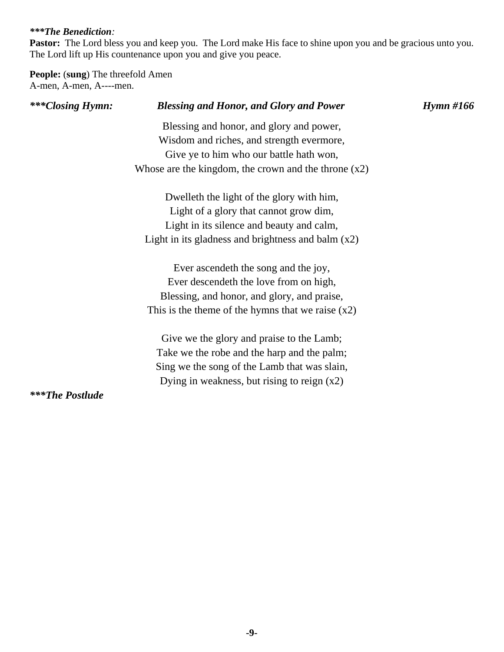## *\*\*\*The Benediction:*

Pastor: The Lord bless you and keep you. The Lord make His face to shine upon you and be gracious unto you. The Lord lift up His countenance upon you and give you peace.

**People:** (**sung**) The threefold Amen A-men, A-men, A----men.

| ***Closing Hymn:       | <b>Blessing and Honor, and Glory and Power</b>         | $H$ ymn #166 |
|------------------------|--------------------------------------------------------|--------------|
|                        | Blessing and honor, and glory and power,               |              |
|                        | Wisdom and riches, and strength evermore,              |              |
|                        | Give ye to him who our battle hath won,                |              |
|                        | Whose are the kingdom, the crown and the throne $(x2)$ |              |
|                        | Dwelleth the light of the glory with him,              |              |
|                        | Light of a glory that cannot grow dim,                 |              |
|                        | Light in its silence and beauty and calm,              |              |
|                        | Light in its gladness and brightness and balm $(x2)$   |              |
|                        | Ever ascendeth the song and the joy,                   |              |
|                        | Ever descende the love from on high,                   |              |
|                        | Blessing, and honor, and glory, and praise,            |              |
|                        | This is the theme of the hymns that we raise $(x2)$    |              |
|                        | Give we the glory and praise to the Lamb;              |              |
|                        | Take we the robe and the harp and the palm;            |              |
|                        | Sing we the song of the Lamb that was slain,           |              |
|                        | Dying in weakness, but rising to reign $(x2)$          |              |
| <b>***The Postlude</b> |                                                        |              |